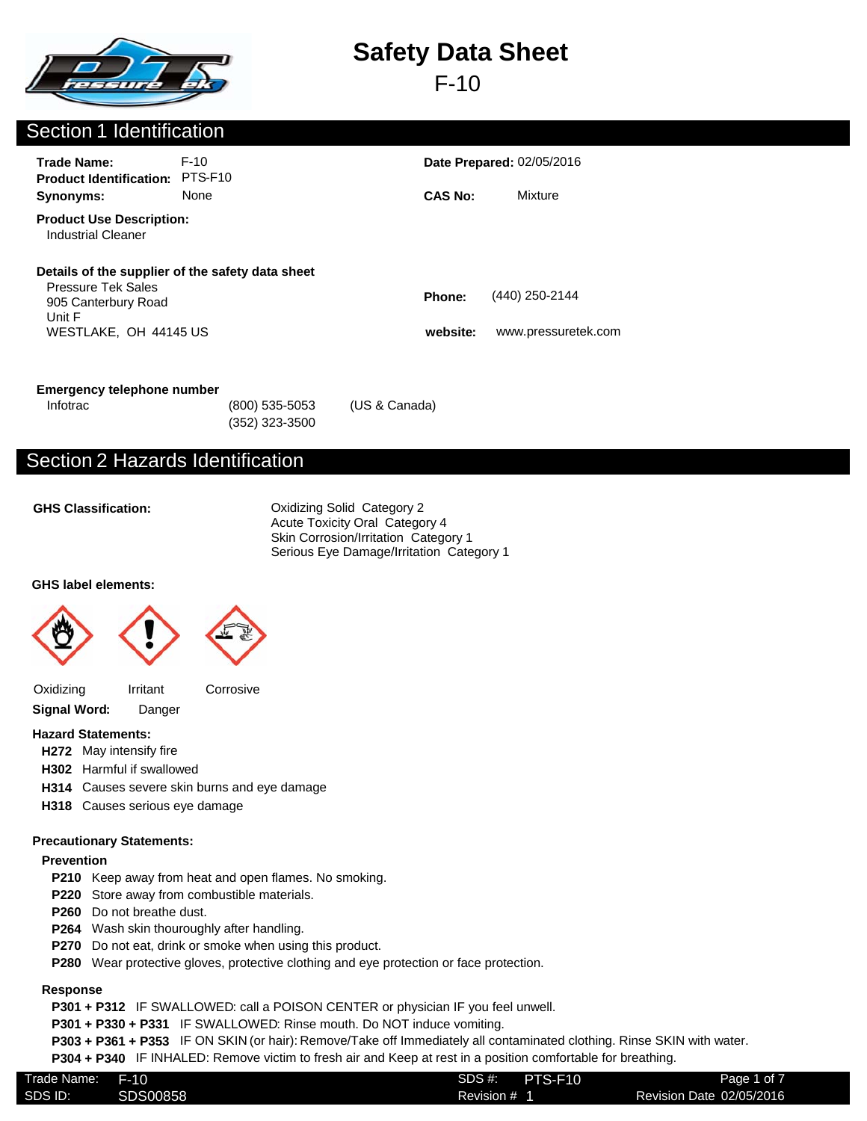

F-10

### Section 1 Identification

| <b>Trade Name:</b><br><b>Product Identification:</b>                                | $F-10$<br>PTS-F <sub>10</sub>                    |                    | <b>Date Prepared: 02/05/2016</b>      |  |
|-------------------------------------------------------------------------------------|--------------------------------------------------|--------------------|---------------------------------------|--|
| Synonyms:                                                                           | None                                             | <b>CAS No:</b>     | Mixture                               |  |
| <b>Product Use Description:</b><br>Industrial Cleaner                               |                                                  |                    |                                       |  |
| <b>Pressure Tek Sales</b><br>905 Canterbury Road<br>Unit F<br>WESTLAKE, OH 44145 US | Details of the supplier of the safety data sheet | Phone:<br>website: | (440) 250-2144<br>www.pressuretek.com |  |

### **Emergency telephone number**

| Infotrac | (800) 535-5053 | (US & Canada) |
|----------|----------------|---------------|
|          | (352) 323-3500 |               |

### Section 2 Hazards Identification

**GHS Classification:**

Oxidizing Solid Category 2 Acute Toxicity Oral Category 4 Skin Corrosion/Irritation Category 1 Serious Eye Damage/Irritation Category 1

### **GHS label elements:**





Oxidizing Irritant Corrosive



### **Hazard Statements:**

- **H272** May intensify fire
- **H302** Harmful if swallowed
- **H314** Causes severe skin burns and eye damage
- **H318** Causes serious eye damage

### **Precautionary Statements:**

### **Prevention**

- **P210** Keep away from heat and open flames. No smoking.
- **P220** Store away from combustible materials.
- **P260** Do not breathe dust.
- **P264** Wash skin thouroughly after handling.
- **P270** Do not eat, drink or smoke when using this product.
- **P280** Wear protective gloves, protective clothing and eye protection or face protection.

### **Response**

**P301 + P312** IF SWALLOWED: call a POISON CENTER or physician IF you feel unwell.

**P301 + P330 + P331** IF SWALLOWED: Rinse mouth. Do NOT induce vomiting.

**P303 + P361 + P353** IF ON SKIN (or hair): Remove/Take off Immediately all contaminated clothing. Rinse SKIN with water.

**P304 + P340** IF INHALED: Remove victim to fresh air and Keep at rest in a position comfortable for breathing.

| SDS ID:<br>Revision Date 02/05/2016<br>SDS00858.<br>Revision # 1 |  |
|------------------------------------------------------------------|--|
|                                                                  |  |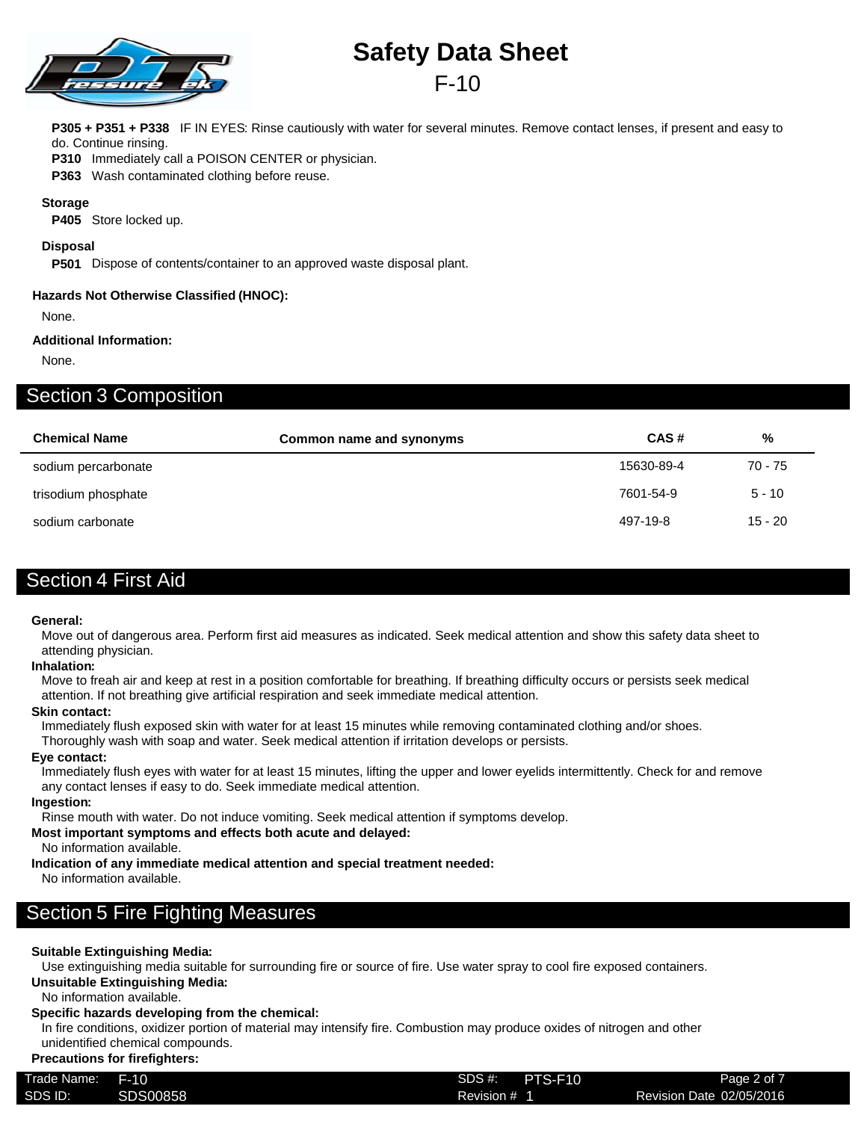

## F-10

**P305 + P351 + P338** IF IN EYES: Rinse cautiously with water for several minutes. Remove contact lenses, if present and easy to do. Continue rinsing.

**P310** Immediately call a POISON CENTER or physician.

**P363** Wash contaminated clothing before reuse.

### **Storage**

**P405** Store locked up.

#### **Disposal**

**P501** Dispose of contents/container to an approved waste disposal plant.

#### **Hazards Not Otherwise Classified (HNOC):**

None.

### **Additional Information:**

None.

### Section 3 Composition

| <b>Chemical Name</b> | Common name and synonyms | CAS#       | %         |
|----------------------|--------------------------|------------|-----------|
| sodium percarbonate  |                          | 15630-89-4 | 70 - 75   |
| trisodium phosphate  |                          | 7601-54-9  | $5 - 10$  |
| sodium carbonate     |                          | 497-19-8   | $15 - 20$ |

### Section 4 First Aid

#### **General:**

Move out of dangerous area. Perform first aid measures as indicated. Seek medical attention and show this safety data sheet to attending physician.

#### **Inhalation:**

Move to freah air and keep at rest in a position comfortable for breathing. If breathing difficulty occurs or persists seek medical attention. If not breathing give artificial respiration and seek immediate medical attention.

#### **Skin contact:**

Immediately flush exposed skin with water for at least 15 minutes while removing contaminated clothing and/or shoes.

Thoroughly wash with soap and water. Seek medical attention if irritation develops or persists.

#### **Eye contact:**

Immediately flush eyes with water for at least 15 minutes, lifting the upper and lower eyelids intermittently. Check for and remove any contact lenses if easy to do. Seek immediate medical attention.

#### **Ingestion:**

Rinse mouth with water. Do not induce vomiting. Seek medical attention if symptoms develop.

**Most important symptoms and effects both acute and delayed:**

No information available.

**Indication of any immediate medical attention and special treatment needed:**

No information available.

### Section 5 Fire Fighting Measures

### **Suitable Extinguishing Media:**

Use extinguishing media suitable for surrounding fire or source of fire. Use water spray to cool fire exposed containers.

### **Unsuitable Extinguishing Media:**

No information available.

#### **Specific hazards developing from the chemical:**

In fire conditions, oxidizer portion of material may intensify fire. Combustion may produce oxides of nitrogen and other unidentified chemical compounds.

### **Precautions for firefighters:**

| Trade Name: | F-10     | SDS #:<br>PTS-F10 | Page 2 of 7              |
|-------------|----------|-------------------|--------------------------|
| SDS ID:     | SDS00858 | Revision # 1      | Revision Date 02/05/2016 |
|             |          |                   |                          |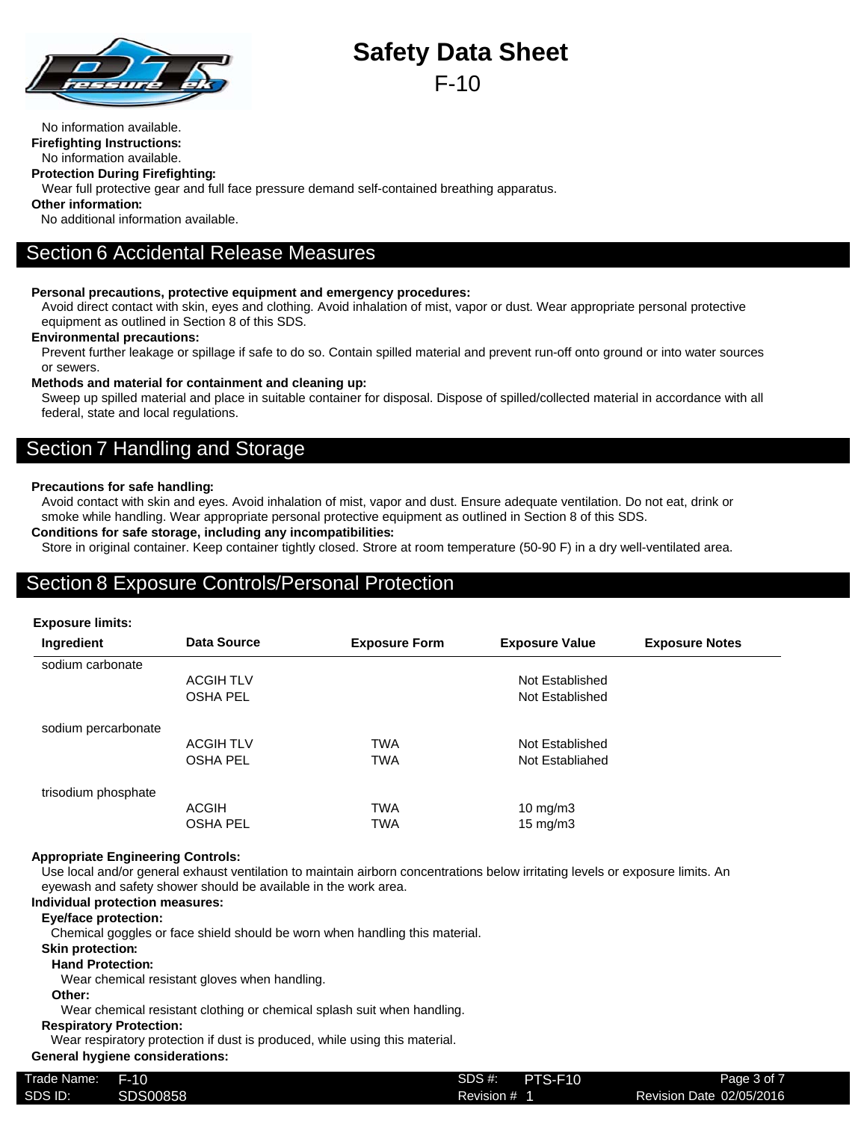

No information available.

**Firefighting Instructions:**

No information available.

**Protection During Firefighting:**

Wear full protective gear and full face pressure demand self-contained breathing apparatus.

**Other information:**

No additional information available.

### Section 6 Accidental Release Measures

### **Personal precautions, protective equipment and emergency procedures:**

Avoid direct contact with skin, eyes and clothing. Avoid inhalation of mist, vapor or dust. Wear appropriate personal protective equipment as outlined in Section 8 of this SDS.

### **Environmental precautions:**

Prevent further leakage or spillage if safe to do so. Contain spilled material and prevent run-off onto ground or into water sources or sewers.

### **Methods and material for containment and cleaning up:**

Sweep up spilled material and place in suitable container for disposal. Dispose of spilled/collected material in accordance with all federal, state and local regulations.

### Section 7 Handling and Storage

### **Precautions for safe handling:**

Avoid contact with skin and eyes. Avoid inhalation of mist, vapor and dust. Ensure adequate ventilation. Do not eat, drink or smoke while handling. Wear appropriate personal protective equipment as outlined in Section 8 of this SDS.

### **Conditions for safe storage, including any incompatibilities:**

Store in original container. Keep container tightly closed. Strore at room temperature (50-90 F) in a dry well-ventilated area.

### Section 8 Exposure Controls/Personal Protection

### **Exposure limits:**

| Ingredient          | Data Source      | <b>Exposure Form</b> | <b>Exposure Value</b> | <b>Exposure Notes</b> |
|---------------------|------------------|----------------------|-----------------------|-----------------------|
| sodium carbonate    |                  |                      |                       |                       |
|                     | <b>ACGIH TLV</b> |                      | Not Established       |                       |
|                     | <b>OSHA PEL</b>  |                      | Not Established       |                       |
| sodium percarbonate |                  |                      |                       |                       |
|                     | <b>ACGIH TLV</b> | <b>TWA</b>           | Not Established       |                       |
|                     | <b>OSHA PEL</b>  | <b>TWA</b>           | Not Establiahed       |                       |
| trisodium phosphate |                  |                      |                       |                       |
|                     | <b>ACGIH</b>     | <b>TWA</b>           | 10 mg/m $3$           |                       |
|                     | <b>OSHA PEL</b>  | TWA                  | $15 \text{ mg/m}$     |                       |

### **Appropriate Engineering Controls:**

Use local and/or general exhaust ventilation to maintain airborn concentrations below irritating levels or exposure limits. An eyewash and safety shower should be available in the work area.

### **Individual protection measures:**

### **Eye/face protection:**

Chemical goggles or face shield should be worn when handling this material.

### **Skin protection:**

### **Hand Protection:**

Wear chemical resistant gloves when handling.

### **Other:**

Wear chemical resistant clothing or chemical splash suit when handling.

### **Respiratory Protection:**

Wear respiratory protection if dust is produced, while using this material.

### **General hygiene considerations:**

| Trade Name: | F-10     | SDS#<br>PTS-F10 | Page 3 of 7              |
|-------------|----------|-----------------|--------------------------|
| SDS ID:     | SDS00858 | Revision #      | Revision Date 02/05/2016 |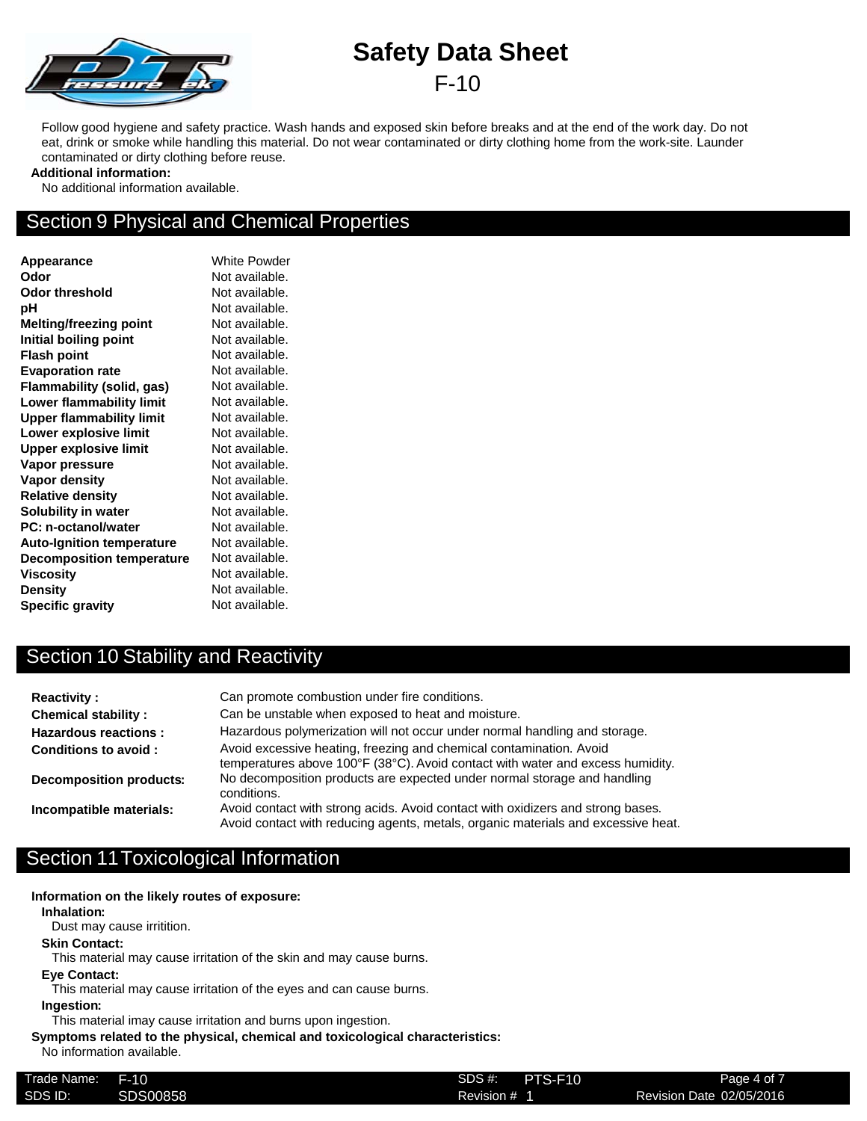

Follow good hygiene and safety practice. Wash hands and exposed skin before breaks and at the end of the work day. Do not eat, drink or smoke while handling this material. Do not wear contaminated or dirty clothing home from the work-site. Launder contaminated or dirty clothing before reuse.

### **Additional information:**

No additional information available.

### Section 9 Physical and Chemical Properties

**Appearance** White Powder **Odor** Not available. **Odor threshold** Not available. **pH** Not available. **Melting/freezing point** Not available. **Initial boiling point** Not available. **Flash point** Not available. **Evaporation rate** Not available. **Flammability (solid, gas)** Not available. **Lower flammability limit** Not available. **Upper flammability limit** Not available. **Lower explosive limit** Not available. **Upper explosive limit** Not available. **Vapor pressure** Not available. **Vapor density** Not available. **Relative density** Not available. **Solubility in water** Not available. **PC: n-octanol/water** Not available. Auto-Ignition temperature Not available. **Decomposition temperature** Not available. **Viscosity** Not available. **Density** Not available. **Specific gravity** Not available.

### Section 10 Stability and Reactivity

| <b>Reactivity:</b>             | Can promote combustion under fire conditions.                                                                                                                        |
|--------------------------------|----------------------------------------------------------------------------------------------------------------------------------------------------------------------|
| <b>Chemical stability:</b>     | Can be unstable when exposed to heat and moisture.                                                                                                                   |
| <b>Hazardous reactions:</b>    | Hazardous polymerization will not occur under normal handling and storage.                                                                                           |
| <b>Conditions to avoid:</b>    | Avoid excessive heating, freezing and chemical contamination. Avoid<br>temperatures above 100°F (38°C). Avoid contact with water and excess humidity.                |
| <b>Decomposition products:</b> | No decomposition products are expected under normal storage and handling<br>conditions.                                                                              |
| Incompatible materials:        | Avoid contact with strong acids. Avoid contact with oxidizers and strong bases.<br>Avoid contact with reducing agents, metals, organic materials and excessive heat. |

### Section 11Toxicological Information

**Information on the likely routes of exposure:**

**Inhalation:**

Dust may cause irritition.

#### **Skin Contact:**

This material may cause irritation of the skin and may cause burns.

**Eye Contact:**

This material may cause irritation of the eyes and can cause burns.

#### **Ingestion:**

This material imay cause irritation and burns upon ingestion.

### **Symptoms related to the physical, chemical and toxicological characteristics:**

No information available.

| Trade Name: | $F-10$   | SDS #:<br>PTS-F10 | Page 4 of 7              |
|-------------|----------|-------------------|--------------------------|
| SDS ID:     | SDS00858 | Revision # 1      | Revision Date 02/05/2016 |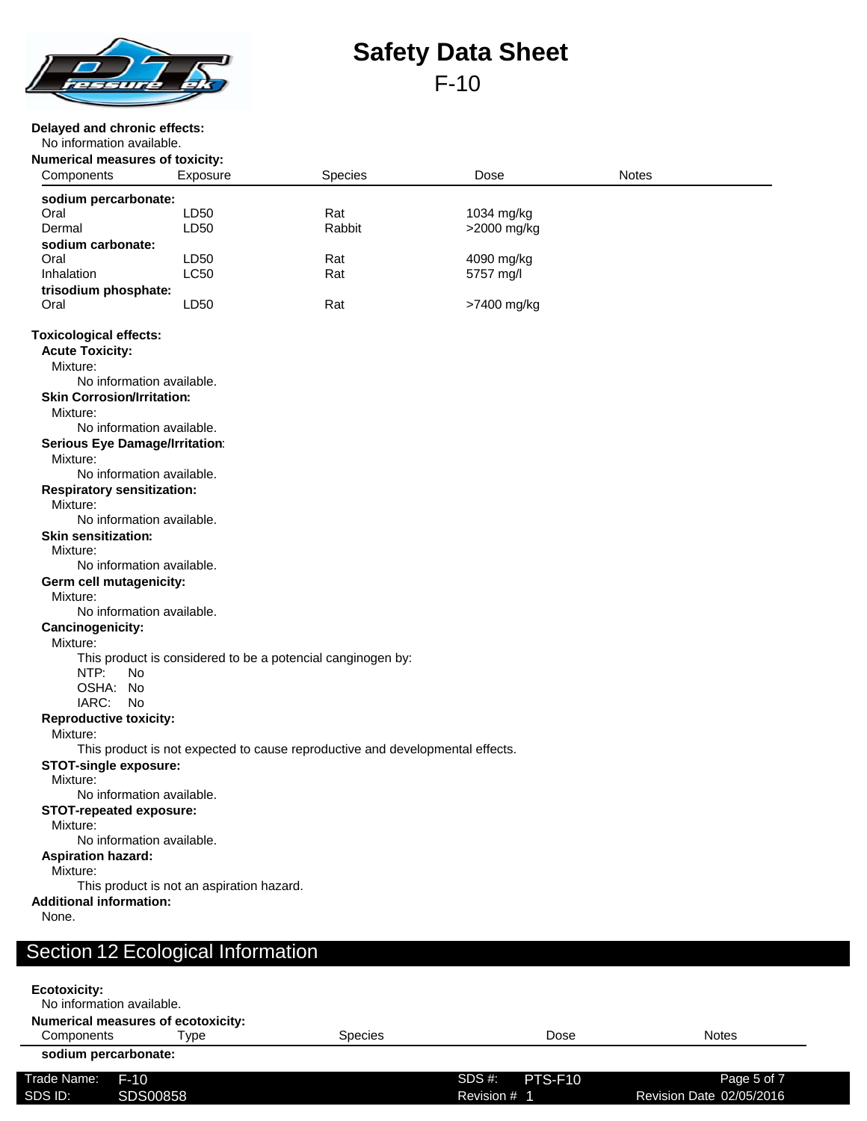

### **Delayed and chronic effects:**

No information available.

**Ecotoxicity:**

| <b>Numerical measures of toxicity:</b><br>Components | Exposure                                  | Species                                                                       | Dose        | <b>Notes</b> |  |
|------------------------------------------------------|-------------------------------------------|-------------------------------------------------------------------------------|-------------|--------------|--|
|                                                      |                                           |                                                                               |             |              |  |
| sodium percarbonate:<br>Oral                         | LD50                                      | Rat                                                                           | 1034 mg/kg  |              |  |
| Dermal                                               | LD <sub>50</sub>                          | Rabbit                                                                        | >2000 mg/kg |              |  |
| sodium carbonate:                                    |                                           |                                                                               |             |              |  |
| Oral                                                 | LD50                                      | Rat                                                                           | 4090 mg/kg  |              |  |
| Inhalation                                           | <b>LC50</b>                               | Rat                                                                           | 5757 mg/l   |              |  |
| trisodium phosphate:                                 |                                           |                                                                               |             |              |  |
| Oral                                                 | LD <sub>50</sub>                          | Rat                                                                           | >7400 mg/kg |              |  |
| <b>Toxicological effects:</b>                        |                                           |                                                                               |             |              |  |
| <b>Acute Toxicity:</b>                               |                                           |                                                                               |             |              |  |
| Mixture:                                             |                                           |                                                                               |             |              |  |
| No information available.                            |                                           |                                                                               |             |              |  |
| <b>Skin Corrosion/Irritation:</b>                    |                                           |                                                                               |             |              |  |
| Mixture:                                             |                                           |                                                                               |             |              |  |
| No information available.                            |                                           |                                                                               |             |              |  |
| <b>Serious Eye Damage/Irritation:</b>                |                                           |                                                                               |             |              |  |
| Mixture:                                             |                                           |                                                                               |             |              |  |
| No information available.                            |                                           |                                                                               |             |              |  |
| <b>Respiratory sensitization:</b>                    |                                           |                                                                               |             |              |  |
| Mixture:                                             |                                           |                                                                               |             |              |  |
| No information available.                            |                                           |                                                                               |             |              |  |
| <b>Skin sensitization:</b>                           |                                           |                                                                               |             |              |  |
| Mixture:                                             |                                           |                                                                               |             |              |  |
| No information available.                            |                                           |                                                                               |             |              |  |
| Germ cell mutagenicity:                              |                                           |                                                                               |             |              |  |
| Mixture:                                             |                                           |                                                                               |             |              |  |
| No information available.                            |                                           |                                                                               |             |              |  |
| Cancinogenicity:                                     |                                           |                                                                               |             |              |  |
| Mixture:                                             |                                           |                                                                               |             |              |  |
|                                                      |                                           | This product is considered to be a potencial canginogen by:                   |             |              |  |
| NTP:<br>No.                                          |                                           |                                                                               |             |              |  |
| OSHA: No                                             |                                           |                                                                               |             |              |  |
| IARC:<br>No                                          |                                           |                                                                               |             |              |  |
| <b>Reproductive toxicity:</b>                        |                                           |                                                                               |             |              |  |
| Mixture:                                             |                                           | This product is not expected to cause reproductive and developmental effects. |             |              |  |
| <b>STOT-single exposure:</b>                         |                                           |                                                                               |             |              |  |
| Mixture:                                             |                                           |                                                                               |             |              |  |
| No information available.                            |                                           |                                                                               |             |              |  |
| <b>STOT-repeated exposure:</b>                       |                                           |                                                                               |             |              |  |
| Mixture:                                             |                                           |                                                                               |             |              |  |
| No information available.                            |                                           |                                                                               |             |              |  |
| <b>Aspiration hazard:</b>                            |                                           |                                                                               |             |              |  |
| Mixture:                                             |                                           |                                                                               |             |              |  |
|                                                      | This product is not an aspiration hazard. |                                                                               |             |              |  |
| <b>Additional information:</b>                       |                                           |                                                                               |             |              |  |
|                                                      |                                           |                                                                               |             |              |  |
| None.                                                |                                           |                                                                               |             |              |  |

|                      | No information available.                 |         |                   |                          |
|----------------------|-------------------------------------------|---------|-------------------|--------------------------|
|                      | <b>Numerical measures of ecotoxicity:</b> |         |                   |                          |
| Components           | Tvpe                                      | Species | Dose              | <b>Notes</b>             |
| sodium percarbonate: |                                           |         |                   |                          |
| Trade Name:          | F-10                                      |         | SDS #:<br>PTS-F10 | Page 5 of 7              |
| SDS ID:              | SDS00858                                  |         | Revision # 1      | Revision Date 02/05/2016 |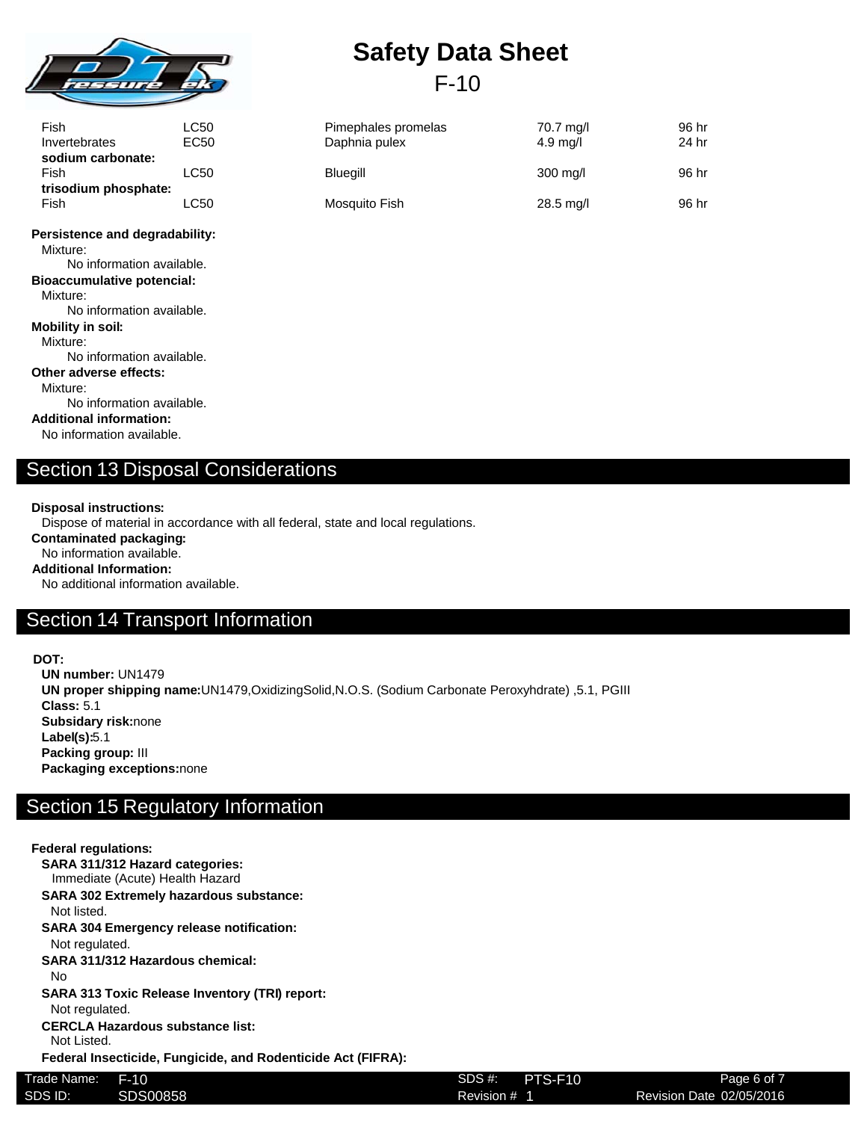

| <b>Safety Data Sheet</b> |        |  |
|--------------------------|--------|--|
|                          | $F-10$ |  |

| Fish<br>Invertebrates        | LC50<br>EC50 | Pimephales promelas<br>Daphnia pulex | 70.7 mg/l<br>$4.9 \text{ mq/l}$ | 96 hr<br>24 hr |
|------------------------------|--------------|--------------------------------------|---------------------------------|----------------|
| sodium carbonate:<br>Fish    | LC50         | Blueaill                             | $300 \text{ mq/l}$              | 96 hr          |
| trisodium phosphate:<br>Fish | ∟C50         | Mosquito Fish                        | $28.5$ mg/l                     | 96 hr          |

**Persistence and degradability:** Mixture: No information available.

**Bioaccumulative potencial:**

Mixture:

No information available.

**Mobility in soil:**

Mixture: No information available.

**Other adverse effects:**

Mixture:

No information available.

**Additional information:** No information available.

# Section 13 Disposal Considerations

### **Disposal instructions:**

Dispose of material in accordance with all federal, state and local regulations.

**Contaminated packaging:**

No information available. **Additional Information:**

No additional information available.

### Section 14 Transport Information

### **DOT:**

**UN number:** UN1479 **UN proper shipping name:**UN1479,OxidizingSolid,N.O.S. (Sodium Carbonate Peroxyhdrate) ,5.1, PGIII **Class:** 5.1 **Subsidary risk:**none **Label(s):**5.1 **Packing group:** III **Packaging exceptions:**none

### Section 15 Regulatory Information

#### **Federal regulations: SARA 311/312 Hazard categories:** Immediate (Acute) Health Hazard **SARA 302 Extremely hazardous substance:** Not listed. **SARA 304 Emergency release notification:** Not regulated. **SARA 311/312 Hazardous chemical:** No **SARA 313 Toxic Release Inventory (TRI) report:** Not regulated. **CERCLA Hazardous substance list:** Not Listed. **Federal Insecticide, Fungicide, and Rodenticide Act (FIFRA):** Trade Name: F-10 SDS #: Revision # 1 Page 6 of 7 SDS ID: SDS00858 SDS00858 Revision # 1 Revision Date 02/05/2016 **PTS-F10**